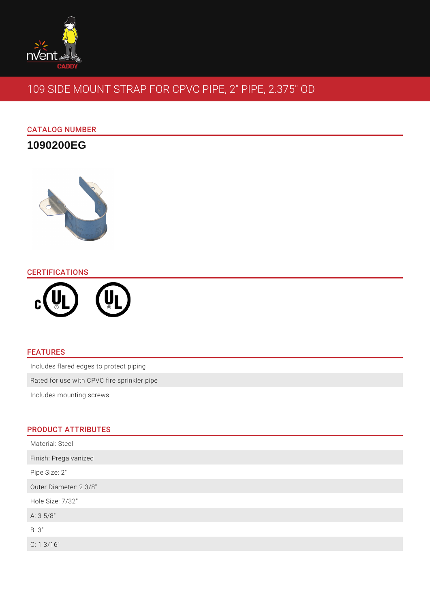

# 109 SIDE MOUNT STRAP FOR CPVC PIPE, 2" PIPE, 2.375" OD

## CATALOG NUMBER

**1090200EG**



### **CERTIFICATIONS**



## FEATURES

Includes flared edges to protect piping

Rated for use with CPVC fire sprinkler pipe

Includes mounting screws

### PRODUCT ATTRIBUTES

| Material: Steel        |
|------------------------|
| Finish: Pregalvanized  |
| Pipe Size: 2"          |
| Outer Diameter: 2 3/8" |
| Hole Size: 7/32"       |
| A: 3 5/8"              |
| B:3"                   |
| C: 13/16"              |